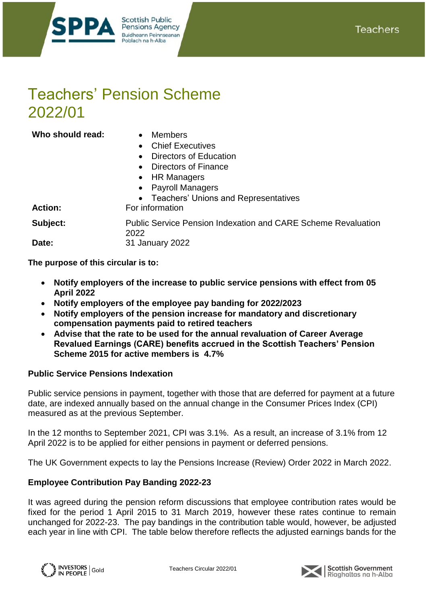

# Teachers' Pension Scheme 2022/01

Who should read: • Members

- 
- Chief Executives
- Directors of Education
- Directors of Finance
- HR Managers
- Payroll Managers
- Teachers' Unions and Representatives

Action: For information

**Subject:** Public Service Pension Indexation and CARE Scheme Revaluation 2022 **Date:** 31 January 2022

**The purpose of this circular is to:**

- **Notify employers of the increase to public service pensions with effect from 05 April 2022**
- **Notify employers of the employee pay banding for 2022/2023**
- **Notify employers of the pension increase for mandatory and discretionary compensation payments paid to retired teachers**
- **Advise that the rate to be used for the annual revaluation of Career Average Revalued Earnings (CARE) benefits accrued in the Scottish Teachers' Pension Scheme 2015 for active members is 4.7%**

# **Public Service Pensions Indexation**

Public service pensions in payment, together with those that are deferred for payment at a future date, are indexed annually based on the annual change in the Consumer Prices Index (CPI) measured as at the previous September.

In the 12 months to September 2021, CPI was 3.1%. As a result, an increase of 3.1% from 12 April 2022 is to be applied for either pensions in payment or deferred pensions.

The UK Government expects to lay the Pensions Increase (Review) Order 2022 in March 2022.

# **Employee Contribution Pay Banding 2022-23**

It was agreed during the pension reform discussions that employee contribution rates would be fixed for the period 1 April 2015 to 31 March 2019, however these rates continue to remain unchanged for 2022-23. The pay bandings in the contribution table would, however, be adjusted each year in line with CPI. The table below therefore reflects the adjusted earnings bands for the



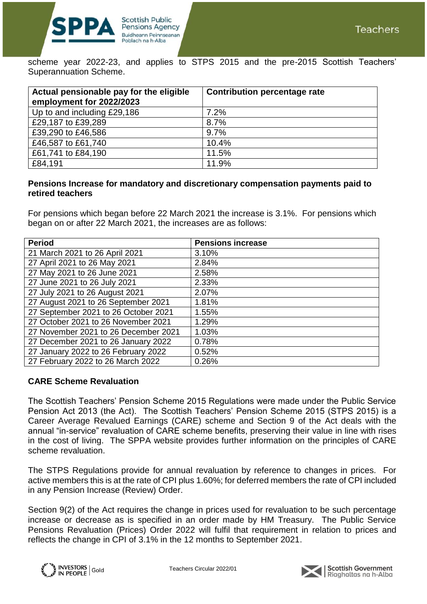

scheme year 2022-23, and applies to STPS 2015 and the pre-2015 Scottish Teachers' Superannuation Scheme.

| Actual pensionable pay for the eligible<br>employment for 2022/2023 | <b>Contribution percentage rate</b> |
|---------------------------------------------------------------------|-------------------------------------|
| Up to and including £29,186                                         | 7.2%                                |
| £29,187 to £39,289                                                  | 8.7%                                |
| £39,290 to £46,586                                                  | 9.7%                                |
| £46,587 to £61,740                                                  | 10.4%                               |
| £61,741 to £84,190                                                  | 11.5%                               |
| £84,191                                                             | 11.9%                               |

#### **Pensions Increase for mandatory and discretionary compensation payments paid to retired teachers**

For pensions which began before 22 March 2021 the increase is 3.1%. For pensions which began on or after 22 March 2021, the increases are as follows:

| <b>Period</b>                        | <b>Pensions increase</b> |
|--------------------------------------|--------------------------|
| 21 March 2021 to 26 April 2021       | 3.10%                    |
| 27 April 2021 to 26 May 2021         | 2.84%                    |
| 27 May 2021 to 26 June 2021          | 2.58%                    |
| 27 June 2021 to 26 July 2021         | 2.33%                    |
| 27 July 2021 to 26 August 2021       | 2.07%                    |
| 27 August 2021 to 26 September 2021  | 1.81%                    |
| 27 September 2021 to 26 October 2021 | 1.55%                    |
| 27 October 2021 to 26 November 2021  | 1.29%                    |
| 27 November 2021 to 26 December 2021 | 1.03%                    |
| 27 December 2021 to 26 January 2022  | 0.78%                    |
| 27 January 2022 to 26 February 2022  | 0.52%                    |
| 27 February 2022 to 26 March 2022    | 0.26%                    |

# **CARE Scheme Revaluation**

The Scottish Teachers' Pension Scheme 2015 Regulations were made under the Public Service Pension Act 2013 (the Act). The Scottish Teachers' Pension Scheme 2015 (STPS 2015) is a Career Average Revalued Earnings (CARE) scheme and Section 9 of the Act deals with the annual "in-service" revaluation of CARE scheme benefits, preserving their value in line with rises in the cost of living. The SPPA website provides further information on the principles of CARE scheme revaluation.

The STPS Regulations provide for annual revaluation by reference to changes in prices. For active members this is at the rate of CPI plus 1.60%; for deferred members the rate of CPI included in any Pension Increase (Review) Order.

Section 9(2) of the Act requires the change in prices used for revaluation to be such percentage increase or decrease as is specified in an order made by HM Treasury. The Public Service Pensions Revaluation (Prices) Order 2022 will fulfil that requirement in relation to prices and reflects the change in CPI of 3.1% in the 12 months to September 2021.